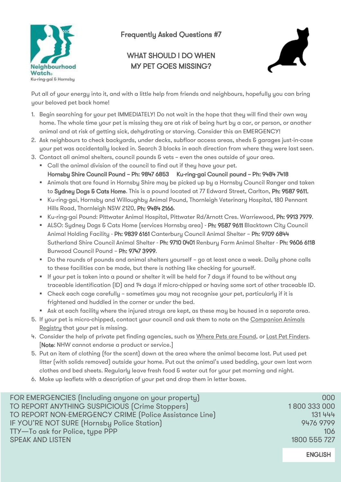

## Frequently Asked Questions #7

## WHAT SHOULD I DO WHEN MY PET GOES MISSING?



Put all of your energy into it, and with a little help from friends and neighbours, hopefully you can bring your beloved pet back home!

- 1. Begin searching for your pet IMMEDIATELY! Do not wait in the hope that they will find their own way home. The whole time your pet is missing they are at risk of being hurt by a car, or person, or another animal and at risk of getting sick, dehydrating or starving. Consider this an EMERGENCY!
- 2. Ask neighbours to check backyards, under decks, subfloor access areas, sheds & garages just-in-case your pet was accidentally locked in. Search 3 blocks in each direction from where they were last seen.
- 3. Contact all animal shelters, council pounds & vets even the ones outside of your area.
	- Call the animal division of the council to find out if they have your pet. Hornsby Shire Council Pound – Ph: 9847 6853 Ku-ring-gai Council pound – Ph: 9484 7418
	- Animals that are found in Hornsby Shire may be picked up by a Hornsby Council Ranger and taken to Sydney Dogs & Cats Home. This is a pound located at 77 Edward Street, Carlton, Ph: 9587 9611.
	- Ku-ring-gai, Hornsby and Willoughby Animal Pound, Thornleigh Veterinary Hospital, 180 Pennant Hills Road, Thornleigh NSW 2120, Ph: 9484 2166.
	- Ku-ring-gai Pound: Pittwater Animal Hospital, Pittwater Rd/Arnott Cres. Warriewood, Ph: 9913 7979.
	- ALSO: Sydney Dogs & Cats Home (services Hornsby area) Ph: 9587 9611 Blacktown City Council Animal Holding Facility - Ph: 9839 6161 Canterbury Council Animal Shelter – Ph: 9709 6844 Sutherland Shire Council Animal Shelter - Ph: 9710 0401 Renbury Farm Animal Shelter - Ph: 9606 6118 Burwood Council Pound – Ph: 9747 3999.
	- Do the rounds of pounds and animal shelters yourself go at least once a week. Daily phone calls to these facilities can be made, but there is nothing like checking for yourself.
	- If your pet is taken into a pound or shelter it will be held for 7 days if found to be without any traceable identification (ID) and 14 days if micro-chipped or having some sort of other traceable ID.
	- Check each cage carefully sometimes you may not recognise your pet, particularly if it is frightened and huddled in the corner or under the bed.
	- Ask at each facility where the injured strays are kept, as these may be housed in a separate area.
- 5. If your pet is micro-chipped, contact your council and ask them to note on the [Companion Animals](https://www.olg.nsw.gov.au/public/dogs-cats/)  [Registry](https://www.olg.nsw.gov.au/public/dogs-cats/) that your pet is missing.
- 4. Consider the help of private pet finding agencies, such as [Where Pets are Found,](https://www.wherepetsarefound.com/) or [Lost Pet Finders.](https://lostpetfinders.com.au/) [Note: NHW cannot endorse a product or service.]
- 5. Put an item of clothing (for the scent) down at the area where the animal became lost. Put used pet litter (with solids removed) outside your home. Put out the animal's used bedding, your own last worn clothes and bed sheets. Regularly leave fresh food & water out for your pet morning and night.
- 6. Make up leaflets with a description of your pet and drop them in letter boxes.

| FOR EMERGENCIES (Including anyone on your property)    | 000          |
|--------------------------------------------------------|--------------|
| TO REPORT ANYTHING SUSPICIOUS (Crime Stoppers)         | 1800 333 000 |
| TO REPORT NON-EMERGENCY CRIME (Police Assistance Line) | 131 444      |
| IF YOU'RE NOT SURE (Hornsby Police Station)            | 9476 9799    |
| TTY-To ask for Police, type PPP                        | 106          |
| <b>SPEAK AND LISTEN</b>                                | 1800 555 727 |
|                                                        |              |

ENGLISH